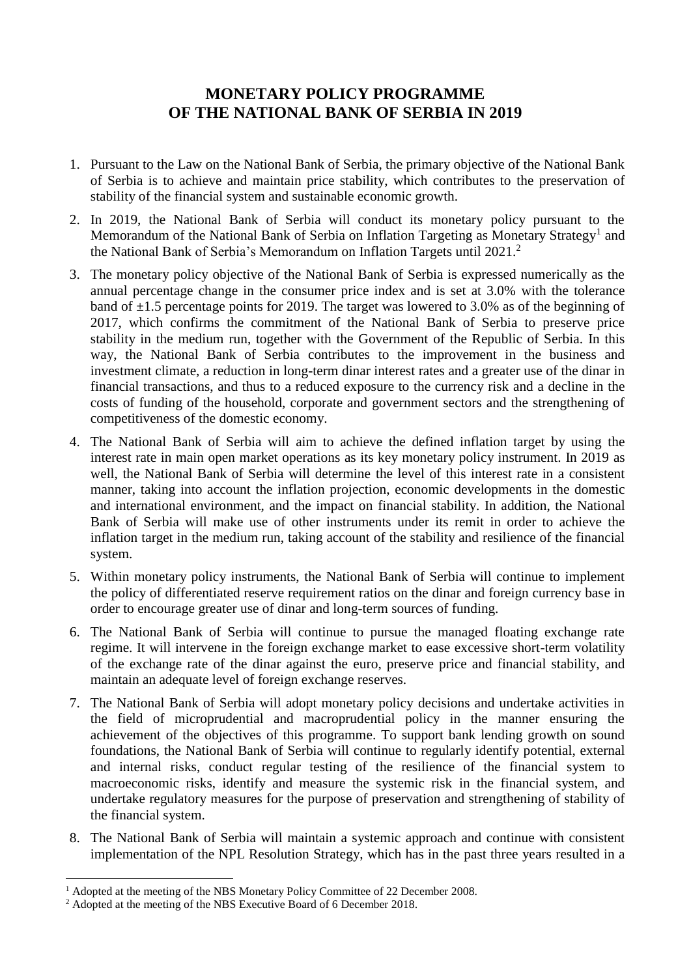## **MONETARY POLICY PROGRAMME OF THE NATIONAL BANK OF SERBIA IN 2019**

- 1. Pursuant to the Law on the National Bank of Serbia, the primary objective of the National Bank of Serbia is to achieve and maintain price stability, which contributes to the preservation of stability of the financial system and sustainable economic growth.
- 2. In 2019, the National Bank of Serbia will conduct its monetary policy pursuant to the Memorandum of the National Bank of Serbia on Inflation Targeting as Monetary Strategy<sup>1</sup> and the National Bank of Serbia's Memorandum on Inflation Targets until 2021. 2
- 3. The monetary policy objective of the National Bank of Serbia is expressed numerically as the annual percentage change in the consumer price index and is set at 3.0% with the tolerance band of  $\pm 1.5$  percentage points for 2019. The target was lowered to 3.0% as of the beginning of 2017, which confirms the commitment of the National Bank of Serbia to preserve price stability in the medium run, together with the Government of the Republic of Serbia. In this way, the National Bank of Serbia contributes to the improvement in the business and investment climate, a reduction in long-term dinar interest rates and a greater use of the dinar in financial transactions, and thus to a reduced exposure to the currency risk and a decline in the costs of funding of the household, corporate and government sectors and the strengthening of competitiveness of the domestic economy.
- 4. The National Bank of Serbia will aim to achieve the defined inflation target by using the interest rate in main open market operations as its key monetary policy instrument. In 2019 as well, the National Bank of Serbia will determine the level of this interest rate in a consistent manner, taking into account the inflation projection, economic developments in the domestic and international environment, and the impact on financial stability. In addition, the National Bank of Serbia will make use of other instruments under its remit in order to achieve the inflation target in the medium run, taking account of the stability and resilience of the financial system.
- 5. Within monetary policy instruments, the National Bank of Serbia will continue to implement the policy of differentiated reserve requirement ratios on the dinar and foreign currency base in order to encourage greater use of dinar and long-term sources of funding.
- 6. The National Bank of Serbia will continue to pursue the managed floating exchange rate regime. It will intervene in the foreign exchange market to ease excessive short-term volatility of the exchange rate of the dinar against the euro, preserve price and financial stability, and maintain an adequate level of foreign exchange reserves.
- 7. The National Bank of Serbia will adopt monetary policy decisions and undertake activities in the field of microprudential and macroprudential policy in the manner ensuring the achievement of the objectives of this programme. To support bank lending growth on sound foundations, the National Bank of Serbia will continue to regularly identify potential, external and internal risks, conduct regular testing of the resilience of the financial system to macroeconomic risks, identify and measure the systemic risk in the financial system, and undertake regulatory measures for the purpose of preservation and strengthening of stability of the financial system.
- 8. The National Bank of Serbia will maintain a systemic approach and continue with consistent implementation of the NPL Resolution Strategy, which has in the past three years resulted in a

1

<sup>&</sup>lt;sup>1</sup> Adopted at the meeting of the NBS Monetary Policy Committee of 22 December 2008.

<sup>&</sup>lt;sup>2</sup> Adopted at the meeting of the NBS Executive Board of 6 December 2018.